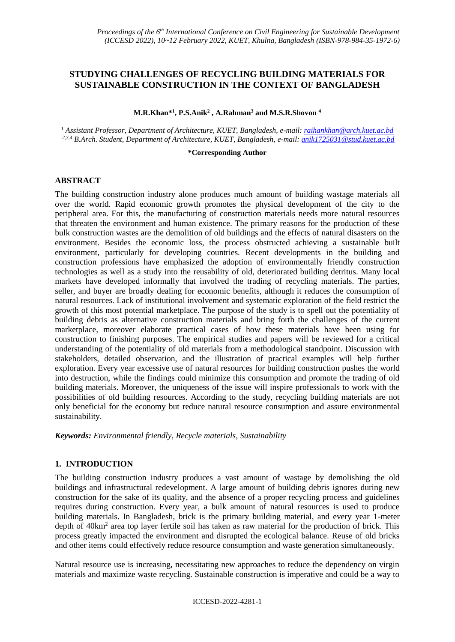# **STUDYING CHALLENGES OF RECYCLING BUILDING MATERIALS FOR SUSTAINABLE CONSTRUCTION IN THE CONTEXT OF BANGLADESH**

**M.R.Khan\* 1 , P.S.Anik<sup>2</sup> , A.Rahman<sup>3</sup> and M.S.R.Shovon <sup>4</sup>**

<sup>1</sup> *Assistant Professor, Department of Architecture, KUET, Bangladesh, e-mail: [raihankhan@arch.kuet.ac.bd](mailto:raihankhan@arch.kuet.ac.bd) 2,3,4 B.Arch. Student, Department of Architecture, KUET, Bangladesh, e-mail: anik1725031@stud.kuet.ac.bd*

#### **\*Corresponding Author**

#### **ABSTRACT**

The building construction industry alone produces much amount of building wastage materials all over the world. Rapid economic growth promotes the physical development of the city to the peripheral area. For this, the manufacturing of construction materials needs more natural resources that threaten the environment and human existence. The primary reasons for the production of these bulk construction wastes are the demolition of old buildings and the effects of natural disasters on the environment. Besides the economic loss, the process obstructed achieving a sustainable built environment, particularly for developing countries. Recent developments in the building and construction professions have emphasized the adoption of environmentally friendly construction technologies as well as a study into the reusability of old, deteriorated building detritus. Many local markets have developed informally that involved the trading of recycling materials. The parties, seller, and buyer are broadly dealing for economic benefits, although it reduces the consumption of natural resources. Lack of institutional involvement and systematic exploration of the field restrict the growth of this most potential marketplace. The purpose of the study is to spell out the potentiality of building debris as alternative construction materials and bring forth the challenges of the current marketplace, moreover elaborate practical cases of how these materials have been using for construction to finishing purposes. The empirical studies and papers will be reviewed for a critical understanding of the potentiality of old materials from a methodological standpoint. Discussion with stakeholders, detailed observation, and the illustration of practical examples will help further exploration. Every year excessive use of natural resources for building construction pushes the world into destruction, while the findings could minimize this consumption and promote the trading of old building materials. Moreover, the uniqueness of the issue will inspire professionals to work with the possibilities of old building resources. According to the study, recycling building materials are not only beneficial for the economy but reduce natural resource consumption and assure environmental sustainability.

*Keywords: Environmental friendly, Recycle materials, Sustainability*

### **1. INTRODUCTION**

The building construction industry produces a vast amount of wastage by demolishing the old buildings and infrastructural redevelopment. A large amount of building debris ignores during new construction for the sake of its quality, and the absence of a proper recycling process and guidelines requires during construction. Every year, a bulk amount of natural resources is used to produce building materials. In Bangladesh, brick is the primary building material, and every year 1-meter depth of 40km<sup>2</sup> area top layer fertile soil has taken as raw material for the production of brick. This process greatly impacted the environment and disrupted the ecological balance. Reuse of old bricks and other items could effectively reduce resource consumption and waste generation simultaneously.

Natural resource use is increasing, necessitating new approaches to reduce the dependency on virgin materials and maximize waste recycling. Sustainable construction is imperative and could be a way to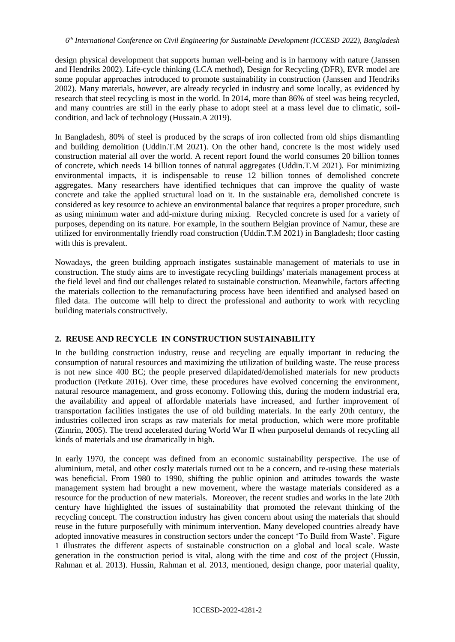design physical development that supports human well-being and is in harmony with nature (Janssen and Hendriks 2002). Life-cycle thinking (LCA method), Design for Recycling (DFR), EVR model are some popular approaches introduced to promote sustainability in construction (Janssen and Hendriks 2002). Many materials, however, are already recycled in industry and some locally, as evidenced by research that steel recycling is most in the world. In 2014, more than 86% of steel was being recycled, and many countries are still in the early phase to adopt steel at a mass level due to climatic, soilcondition, and lack of technology (Hussain.A 2019).

In Bangladesh, 80% of steel is produced by the scraps of iron collected from old ships dismantling and building demolition (Uddin.T.M 2021). On the other hand, concrete is the most widely used construction material all over the world. A recent report found the world consumes 20 billion tonnes of concrete, which needs 14 billion tonnes of natural aggregates (Uddin.T.M 2021). For minimizing environmental impacts, it is indispensable to reuse 12 billion tonnes of demolished concrete aggregates. Many researchers have identified techniques that can improve the quality of waste concrete and take the applied structural load on it. In the sustainable era, demolished concrete is considered as key resource to achieve an environmental balance that requires a proper procedure, such as using minimum water and add-mixture during mixing. Recycled concrete is used for a variety of purposes, depending on its nature. For example, in the southern Belgian province of Namur, these are utilized for environmentally friendly road construction (Uddin.T.M 2021) in Bangladesh; floor casting with this is prevalent.

Nowadays, the green building approach instigates sustainable management of materials to use in construction. The study aims are to investigate recycling buildings' materials management process at the field level and find out challenges related to sustainable construction. Meanwhile, factors affecting the materials collection to the remanufacturing process have been identified and analysed based on filed data. The outcome will help to direct the professional and authority to work with recycling building materials constructively.

## **2. REUSE AND RECYCLE IN CONSTRUCTION SUSTAINABILITY**

In the building construction industry, reuse and recycling are equally important in reducing the consumption of natural resources and maximizing the utilization of building waste. The reuse process is not new since 400 BC; the people preserved dilapidated/demolished materials for new products production (Petkute 2016). Over time, these procedures have evolved concerning the environment, natural resource management, and gross economy. Following this, during the modern industrial era, the availability and appeal of affordable materials have increased, and further improvement of transportation facilities instigates the use of old building materials. In the early 20th century, the industries collected iron scraps as raw materials for metal production, which were more profitable (Zimrin, 2005). The trend accelerated during World War II when purposeful demands of recycling all kinds of materials and use dramatically in high.

In early 1970, the concept was defined from an economic sustainability perspective. The use of aluminium, metal, and other costly materials turned out to be a concern, and re-using these materials was beneficial. From 1980 to 1990, shifting the public opinion and attitudes towards the waste management system had brought a new movement, where the wastage materials considered as a resource for the production of new materials. Moreover, the recent studies and works in the late 20th century have highlighted the issues of sustainability that promoted the relevant thinking of the recycling concept. The construction industry has given concern about using the materials that should reuse in the future purposefully with minimum intervention. Many developed countries already have adopted innovative measures in construction sectors under the concept 'To Build from Waste'. Figure 1 illustrates the different aspects of sustainable construction on a global and local scale. Waste generation in the construction period is vital, along with the time and cost of the project (Hussin, Rahman et al. 2013). Hussin, Rahman et al. 2013, mentioned, design change, poor material quality,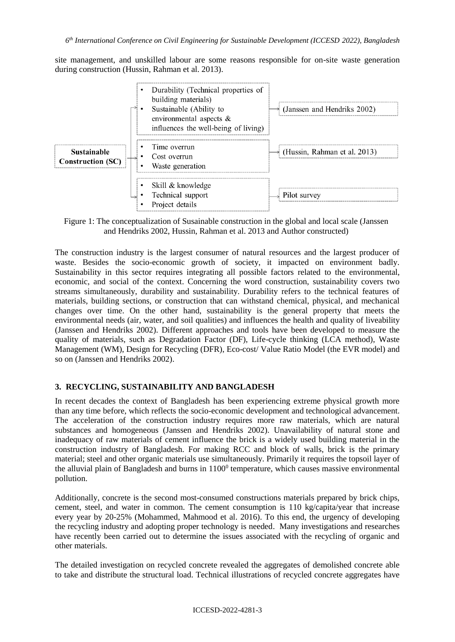site management, and unskilled labour are some reasons responsible for on-site waste generation during construction (Hussin, Rahman et al. 2013).



Figure 1: The conceptualization of Susainable construction in the global and local scale (Janssen and Hendriks 2002, Hussin, Rahman et al. 2013 and Author constructed)

The construction industry is the largest consumer of natural resources and the largest producer of waste. Besides the socio-economic growth of society, it impacted on environment badly. Sustainability in this sector requires integrating all possible factors related to the environmental, economic, and social of the context. Concerning the word construction, sustainability covers two streams simultaneously, durability and sustainability. Durability refers to the technical features of materials, building sections, or construction that can withstand chemical, physical, and mechanical changes over time. On the other hand, sustainability is the general property that meets the environmental needs (air, water, and soil qualities) and influences the health and quality of liveability (Janssen and Hendriks 2002). Different approaches and tools have been developed to measure the quality of materials, such as Degradation Factor (DF), Life-cycle thinking (LCA method), Waste Management (WM), Design for Recycling (DFR), Eco-cost/ Value Ratio Model (the EVR model) and so on (Janssen and Hendriks 2002).

## **3. RECYCLING, SUSTAINABILITY AND BANGLADESH**

In recent decades the context of Bangladesh has been experiencing extreme physical growth more than any time before, which reflects the socio-economic development and technological advancement. The acceleration of the construction industry requires more raw materials, which are natural substances and homogeneous (Janssen and Hendriks 2002). Unavailability of natural stone and inadequacy of raw materials of cement influence the brick is a widely used building material in the construction industry of Bangladesh. For making RCC and block of walls, brick is the primary material; steel and other organic materials use simultaneously. Primarily it requires the topsoil layer of the alluvial plain of Bangladesh and burns in  $1100<sup>0</sup>$  temperature, which causes massive environmental pollution.

Additionally, concrete is the second most-consumed constructions materials prepared by brick chips, cement, steel, and water in common. The cement consumption is 110 kg/capita/year that increase every year by 20-25% (Mohammed, Mahmood et al. 2016). To this end, the urgency of developing the recycling industry and adopting proper technology is needed. Many investigations and researches have recently been carried out to determine the issues associated with the recycling of organic and other materials.

The detailed investigation on recycled concrete revealed the aggregates of demolished concrete able to take and distribute the structural load. Technical illustrations of recycled concrete aggregates have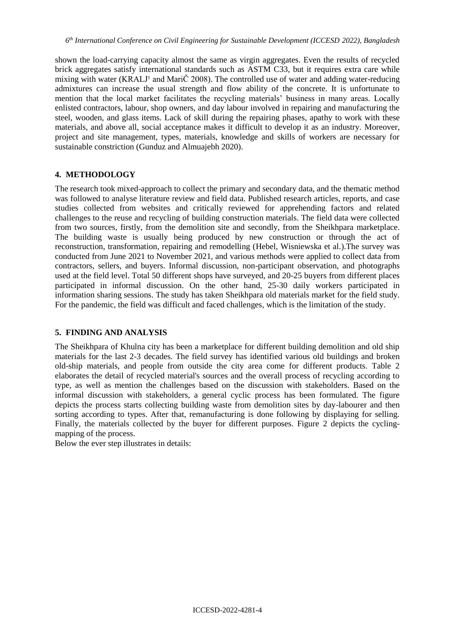shown the load-carrying capacity almost the same as virgin aggregates. Even the results of recycled brick aggregates satisfy international standards such as ASTM C33, but it requires extra care while mixing with water (KRALJ<sup>1</sup> and Mari $\check{C}$  2008). The controlled use of water and adding water-reducing admixtures can increase the usual strength and flow ability of the concrete. It is unfortunate to mention that the local market facilitates the recycling materials' business in many areas. Locally enlisted contractors, labour, shop owners, and day labour involved in repairing and manufacturing the steel, wooden, and glass items. Lack of skill during the repairing phases, apathy to work with these materials, and above all, social acceptance makes it difficult to develop it as an industry. Moreover, project and site management, types, materials, knowledge and skills of workers are necessary for sustainable constriction (Gunduz and Almuajebh 2020).

#### **4. METHODOLOGY**

The research took mixed-approach to collect the primary and secondary data, and the thematic method was followed to analyse literature review and field data. Published research articles, reports, and case studies collected from websites and critically reviewed for apprehending factors and related challenges to the reuse and recycling of building construction materials. The field data were collected from two sources, firstly, from the demolition site and secondly, from the Sheikhpara marketplace. The building waste is usually being produced by new construction or through the act of reconstruction, transformation, repairing and remodelling (Hebel, Wisniewska et al.).The survey was conducted from June 2021 to November 2021, and various methods were applied to collect data from contractors, sellers, and buyers. Informal discussion, non-participant observation, and photographs used at the field level. Total 50 different shops have surveyed, and 20-25 buyers from different places participated in informal discussion. On the other hand, 25-30 daily workers participated in information sharing sessions. The study has taken Sheikhpara old materials market for the field study. For the pandemic, the field was difficult and faced challenges, which is the limitation of the study.

## **5. FINDING AND ANALYSIS**

The Sheikhpara of Khulna city has been a marketplace for different building demolition and old ship materials for the last 2-3 decades. The field survey has identified various old buildings and broken old-ship materials, and people from outside the city area come for different products. Table 2 elaborates the detail of recycled material's sources and the overall process of recycling according to type, as well as mention the challenges based on the discussion with stakeholders. Based on the informal discussion with stakeholders, a general cyclic process has been formulated. The figure depicts the process starts collecting building waste from demolition sites by day-labourer and then sorting according to types. After that, remanufacturing is done following by displaying for selling. Finally, the materials collected by the buyer for different purposes. Figure 2 depicts the cyclingmapping of the process.

Below the ever step illustrates in details: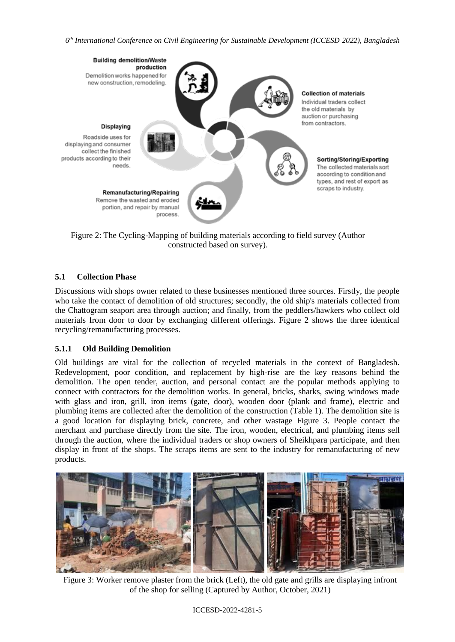

Figure 2: The Cycling-Mapping of building materials according to field survey (Author constructed based on survey).

### **5.1 Collection Phase**

Discussions with shops owner related to these businesses mentioned three sources. Firstly, the people who take the contact of demolition of old structures; secondly, the old ship's materials collected from the Chattogram seaport area through auction; and finally, from the peddlers/hawkers who collect old materials from door to door by exchanging different offerings. Figure 2 shows the three identical recycling/remanufacturing processes.

#### **5.1.1 Old Building Demolition**

Old buildings are vital for the collection of recycled materials in the context of Bangladesh. Redevelopment, poor condition, and replacement by high-rise are the key reasons behind the demolition. The open tender, auction, and personal contact are the popular methods applying to connect with contractors for the demolition works. In general, bricks, sharks, swing windows made with glass and iron, grill, iron items (gate, door), wooden door (plank and frame), electric and plumbing items are collected after the demolition of the construction (Table 1). The demolition site is a good location for displaying brick, concrete, and other wastage Figure 3. People contact the merchant and purchase directly from the site. The iron, wooden, electrical, and plumbing items sell through the auction, where the individual traders or shop owners of Sheikhpara participate, and then display in front of the shops. The scraps items are sent to the industry for remanufacturing of new products.



Figure 3: Worker remove plaster from the brick (Left), the old gate and grills are displaying infront of the shop for selling (Captured by Author, October, 2021)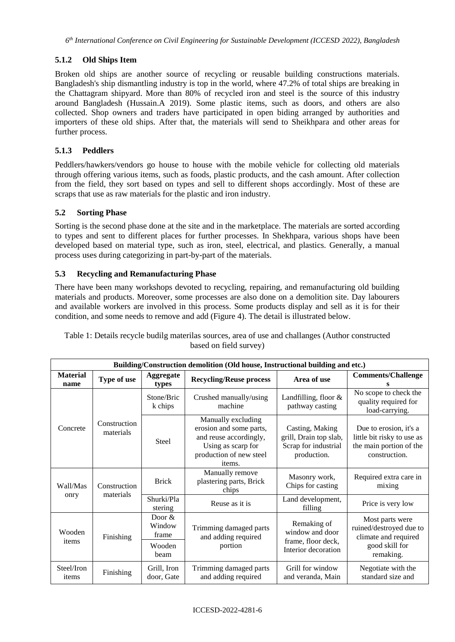# **5.1.2 Old Ships Item**

Broken old ships are another source of recycling or reusable building constructions materials. Bangladesh's ship dismantling industry is top in the world, where 47.2% of total ships are breaking in the Chattagram shipyard. More than 80% of recycled iron and steel is the source of this industry around Bangladesh (Hussain.A 2019). Some plastic items, such as doors, and others are also collected. Shop owners and traders have participated in open biding arranged by authorities and importers of these old ships. After that, the materials will send to Sheikhpara and other areas for further process.

# **5.1.3 Peddlers**

Peddlers/hawkers/vendors go house to house with the mobile vehicle for collecting old materials through offering various items, such as foods, plastic products, and the cash amount. After collection from the field, they sort based on types and sell to different shops accordingly. Most of these are scraps that use as raw materials for the plastic and iron industry.

## **5.2 Sorting Phase**

Sorting is the second phase done at the site and in the marketplace. The materials are sorted according to types and sent to different places for further processes. In Shekhpara, various shops have been developed based on material type, such as iron, steel, electrical, and plastics. Generally, a manual process uses during categorizing in part-by-part of the materials.

## **5.3 Recycling and Remanufacturing Phase**

There have been many workshops devoted to recycling, repairing, and remanufacturing old building materials and products. Moreover, some processes are also done on a demolition site. Day labourers and available workers are involved in this process. Some products display and sell as it is for their condition, and some needs to remove and add (Figure 4). The detail is illustrated below.

| Table 1: Details recycle budilg materilas sources, area of use and challanges (Author constructed |  |  |  |  |
|---------------------------------------------------------------------------------------------------|--|--|--|--|
| based on field survey)                                                                            |  |  |  |  |
|                                                                                                   |  |  |  |  |

| Building/Construction demolition (Old house, Instructional building and etc.) |                           |                             |                                                                                                                                    |                                                                                  |                                                                                                  |  |  |
|-------------------------------------------------------------------------------|---------------------------|-----------------------------|------------------------------------------------------------------------------------------------------------------------------------|----------------------------------------------------------------------------------|--------------------------------------------------------------------------------------------------|--|--|
| <b>Material</b><br>name                                                       | Type of use               | <b>Aggregate</b><br>types   | <b>Recycling/Reuse process</b>                                                                                                     | Area of use                                                                      | <b>Comments/Challenge</b>                                                                        |  |  |
| Concrete                                                                      | Construction<br>materials | Stone/Bric<br>k chips       | Crushed manually/using<br>machine                                                                                                  | Landfilling, floor &<br>pathway casting                                          | No scope to check the<br>quality required for<br>load-carrying.                                  |  |  |
|                                                                               |                           | <b>Steel</b>                | Manually excluding<br>erosion and some parts,<br>and reuse accordingly,<br>Using as scarp for<br>production of new steel<br>items. | Casting, Making<br>grill, Drain top slab,<br>Scrap for industrial<br>production. | Due to erosion, it's a<br>little bit risky to use as<br>the main portion of the<br>construction. |  |  |
| Wall/Mas<br>onry                                                              | Construction<br>materials | <b>Brick</b>                | Manually remove<br>plastering parts, Brick<br>chips                                                                                | Masonry work,<br>Chips for casting                                               | Required extra care in<br>mixing                                                                 |  |  |
|                                                                               |                           | Shurki/Pla<br>stering       | Reuse as it is                                                                                                                     | Land development,<br>filling                                                     | Price is very low                                                                                |  |  |
| Wooden<br>items                                                               | Finishing                 | Door $&$<br>Window<br>frame | Trimming damaged parts<br>and adding required                                                                                      | Remaking of<br>window and door<br>frame, floor deck,<br>Interior decoration      | Most parts were<br>ruined/destroyed due to<br>climate and required                               |  |  |
|                                                                               |                           | Wooden<br>beam              | portion                                                                                                                            |                                                                                  | good skill for<br>remaking.                                                                      |  |  |
| Steel/Iron<br>items                                                           | Finishing                 | Grill, Iron<br>door, Gate   | Trimming damaged parts<br>and adding required                                                                                      | Grill for window<br>and veranda, Main                                            | Negotiate with the<br>standard size and                                                          |  |  |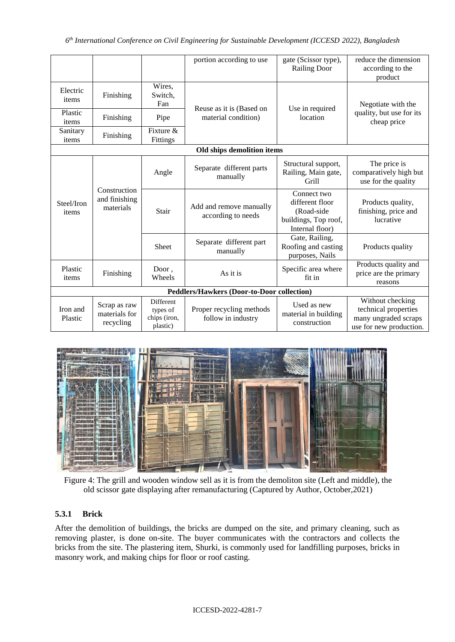|                                            |                                            |                                                   | portion according to use                       | gate (Scissor type),<br><b>Railing Door</b>                                             | reduce the dimension<br>according to the<br>product                                         |  |
|--------------------------------------------|--------------------------------------------|---------------------------------------------------|------------------------------------------------|-----------------------------------------------------------------------------------------|---------------------------------------------------------------------------------------------|--|
| Electric<br>items                          | Finishing                                  | Wires,<br>Switch,<br>Fan                          | Reuse as it is (Based on                       | Use in required<br>location                                                             | Negotiate with the<br>quality, but use for its<br>cheap price                               |  |
| Plastic<br>items                           | Finishing                                  | Pipe                                              | material condition)                            |                                                                                         |                                                                                             |  |
| Sanitary<br>items                          | Finishing                                  | Fixture $\&$<br>Fittings                          |                                                |                                                                                         |                                                                                             |  |
| Old ships demolition items                 |                                            |                                                   |                                                |                                                                                         |                                                                                             |  |
| Steel/Iron<br>items                        | Construction<br>and finishing<br>materials | Angle                                             | Separate different parts<br>manually           | Structural support,<br>Railing, Main gate,<br>Grill                                     | The price is<br>comparatively high but<br>use for the quality                               |  |
|                                            |                                            | Stair                                             | Add and remove manually<br>according to needs  | Connect two<br>different floor<br>(Road-side<br>buildings, Top roof,<br>Internal floor) | Products quality,<br>finishing, price and<br>lucrative                                      |  |
|                                            |                                            | Sheet                                             | Separate different part<br>manually            | Gate, Railing,<br>Roofing and casting<br>purposes, Nails                                | Products quality                                                                            |  |
| Plastic<br>items                           | Finishing                                  | Door,<br>Wheels                                   | As it is                                       | Specific area where<br>fit in                                                           | Products quality and<br>price are the primary<br>reasons                                    |  |
| Peddlers/Hawkers (Door-to-Door collection) |                                            |                                                   |                                                |                                                                                         |                                                                                             |  |
| Iron and<br>Plastic                        | Scrap as raw<br>materials for<br>recycling | Different<br>types of<br>chips (iron,<br>plastic) | Proper recycling methods<br>follow in industry | Used as new<br>material in building<br>construction                                     | Without checking<br>technical properties<br>many ungraded scraps<br>use for new production. |  |



Figure 4: The grill and wooden window sell as it is from the demoliton site (Left and middle), the old scissor gate displaying after remanufacturing (Captured by Author, October,2021)

# **5.3.1 Brick**

After the demolition of buildings, the bricks are dumped on the site, and primary cleaning, such as removing plaster, is done on-site. The buyer communicates with the contractors and collects the bricks from the site. The plastering item, Shurki, is commonly used for landfilling purposes, bricks in masonry work, and making chips for floor or roof casting.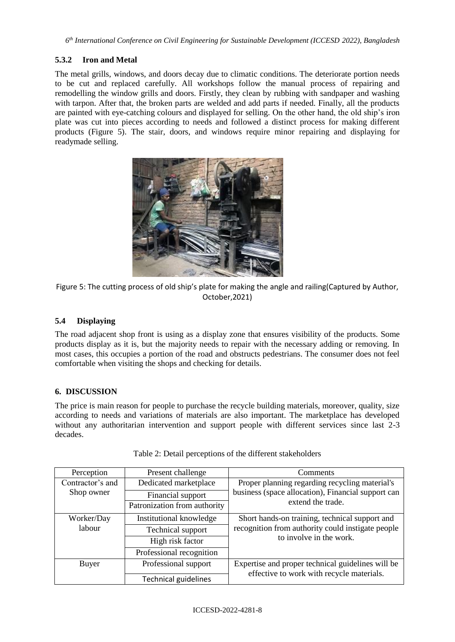## **5.3.2 Iron and Metal**

The metal grills, windows, and doors decay due to climatic conditions. The deteriorate portion needs to be cut and replaced carefully. All workshops follow the manual process of repairing and remodelling the window grills and doors. Firstly, they clean by rubbing with sandpaper and washing with tarpon. After that, the broken parts are welded and add parts if needed. Finally, all the products are painted with eye-catching colours and displayed for selling. On the other hand, the old ship's iron plate was cut into pieces according to needs and followed a distinct process for making different products (Figure 5). The stair, doors, and windows require minor repairing and displaying for readymade selling.





### **5.4 Displaying**

The road adjacent shop front is using as a display zone that ensures visibility of the products. Some products display as it is, but the majority needs to repair with the necessary adding or removing. In most cases, this occupies a portion of the road and obstructs pedestrians. The consumer does not feel comfortable when visiting the shops and checking for details.

#### **6. DISCUSSION**

The price is main reason for people to purchase the recycle building materials, moreover, quality, size according to needs and variations of materials are also important. The marketplace has developed without any authoritarian intervention and support people with different services since last 2-3 decades.

| Perception       | Present challenge            | Comments                                           |  |  |
|------------------|------------------------------|----------------------------------------------------|--|--|
| Contractor's and | Dedicated marketplace        | Proper planning regarding recycling material's     |  |  |
| Shop owner       | Financial support            | business (space allocation), Financial support can |  |  |
|                  | Patronization from authority | extend the trade.                                  |  |  |
| Worker/Day       | Institutional knowledge      | Short hands-on training, technical support and     |  |  |
| labour           | Technical support            | recognition from authority could instigate people  |  |  |
|                  | High risk factor             | to involve in the work.                            |  |  |
|                  | Professional recognition     |                                                    |  |  |
| Buyer            | Professional support         | Expertise and proper technical guidelines will be  |  |  |
|                  | <b>Technical guidelines</b>  | effective to work with recycle materials.          |  |  |

Table 2: Detail perceptions of the different stakeholders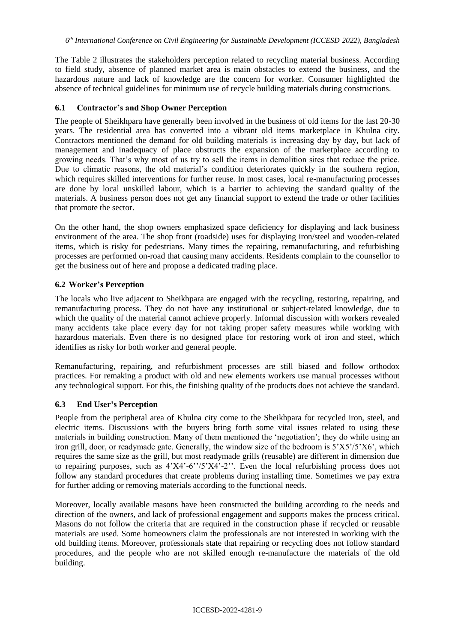The Table 2 illustrates the stakeholders perception related to recycling material business. According to field study, absence of planned market area is main obstacles to extend the business, and the hazardous nature and lack of knowledge are the concern for worker. Consumer highlighted the absence of technical guidelines for minimum use of recycle building materials during constructions.

### **6.1 Contractor's and Shop Owner Perception**

The people of Sheikhpara have generally been involved in the business of old items for the last 20-30 years. The residential area has converted into a vibrant old items marketplace in Khulna city. Contractors mentioned the demand for old building materials is increasing day by day, but lack of management and inadequacy of place obstructs the expansion of the marketplace according to growing needs. That's why most of us try to sell the items in demolition sites that reduce the price. Due to climatic reasons, the old material's condition deteriorates quickly in the southern region, which requires skilled interventions for further reuse. In most cases, local re-manufacturing processes are done by local unskilled labour, which is a barrier to achieving the standard quality of the materials. A business person does not get any financial support to extend the trade or other facilities that promote the sector.

On the other hand, the shop owners emphasized space deficiency for displaying and lack business environment of the area. The shop front (roadside) uses for displaying iron/steel and wooden-related items, which is risky for pedestrians. Many times the repairing, remanufacturing, and refurbishing processes are performed on-road that causing many accidents. Residents complain to the counsellor to get the business out of here and propose a dedicated trading place.

### **6.2 Worker's Perception**

The locals who live adjacent to Sheikhpara are engaged with the recycling, restoring, repairing, and remanufacturing process. They do not have any institutional or subject-related knowledge, due to which the quality of the material cannot achieve properly. Informal discussion with workers revealed many accidents take place every day for not taking proper safety measures while working with hazardous materials. Even there is no designed place for restoring work of iron and steel, which identifies as risky for both worker and general people.

Remanufacturing, repairing, and refurbishment processes are still biased and follow orthodox practices. For remaking a product with old and new elements workers use manual processes without any technological support. For this, the finishing quality of the products does not achieve the standard.

### **6.3 End User's Perception**

People from the peripheral area of Khulna city come to the Sheikhpara for recycled iron, steel, and electric items. Discussions with the buyers bring forth some vital issues related to using these materials in building construction. Many of them mentioned the 'negotiation'; they do while using an iron grill, door, or readymade gate. Generally, the window size of the bedroom is 5'X5'/5'X6', which requires the same size as the grill, but most readymade grills (reusable) are different in dimension due to repairing purposes, such as 4'X4'-6''/5'X4'-2''. Even the local refurbishing process does not follow any standard procedures that create problems during installing time. Sometimes we pay extra for further adding or removing materials according to the functional needs.

Moreover, locally available masons have been constructed the building according to the needs and direction of the owners, and lack of professional engagement and supports makes the process critical. Masons do not follow the criteria that are required in the construction phase if recycled or reusable materials are used. Some homeowners claim the professionals are not interested in working with the old building items. Moreover, professionals state that repairing or recycling does not follow standard procedures, and the people who are not skilled enough re-manufacture the materials of the old building.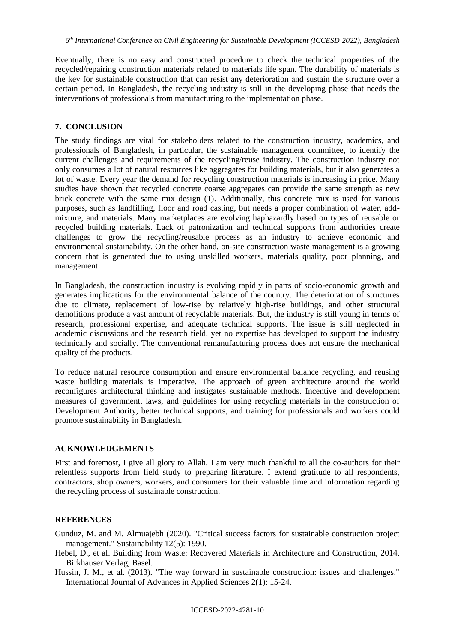Eventually, there is no easy and constructed procedure to check the technical properties of the recycled/repairing construction materials related to materials life span. The durability of materials is the key for sustainable construction that can resist any deterioration and sustain the structure over a certain period. In Bangladesh, the recycling industry is still in the developing phase that needs the interventions of professionals from manufacturing to the implementation phase.

#### **7. CONCLUSION**

The study findings are vital for stakeholders related to the construction industry, academics, and professionals of Bangladesh, in particular, the sustainable management committee, to identify the current challenges and requirements of the recycling/reuse industry. The construction industry not only consumes a lot of natural resources like aggregates for building materials, but it also generates a lot of waste. Every year the demand for recycling construction materials is increasing in price. Many studies have shown that recycled concrete coarse aggregates can provide the same strength as new brick concrete with the same mix design (1). Additionally, this concrete mix is used for various purposes, such as landfilling, floor and road casting, but needs a proper combination of water, addmixture, and materials. Many marketplaces are evolving haphazardly based on types of reusable or recycled building materials. Lack of patronization and technical supports from authorities create challenges to grow the recycling/reusable process as an industry to achieve economic and environmental sustainability. On the other hand, on-site construction waste management is a growing concern that is generated due to using unskilled workers, materials quality, poor planning, and management.

In Bangladesh, the construction industry is evolving rapidly in parts of socio-economic growth and generates implications for the environmental balance of the country. The deterioration of structures due to climate, replacement of low-rise by relatively high-rise buildings, and other structural demolitions produce a vast amount of recyclable materials. But, the industry is still young in terms of research, professional expertise, and adequate technical supports. The issue is still neglected in academic discussions and the research field, yet no expertise has developed to support the industry technically and socially. The conventional remanufacturing process does not ensure the mechanical quality of the products.

To reduce natural resource consumption and ensure environmental balance recycling, and reusing waste building materials is imperative. The approach of green architecture around the world reconfigures architectural thinking and instigates sustainable methods. Incentive and development measures of government, laws, and guidelines for using recycling materials in the construction of Development Authority, better technical supports, and training for professionals and workers could promote sustainability in Bangladesh.

#### **ACKNOWLEDGEMENTS**

First and foremost, I give all glory to Allah. I am very much thankful to all the co-authors for their relentless supports from field study to preparing literature. I extend gratitude to all respondents, contractors, shop owners, workers, and consumers for their valuable time and information regarding the recycling process of sustainable construction.

#### **REFERENCES**

- Gunduz, M. and M. Almuajebh (2020). "Critical success factors for sustainable construction project management." Sustainability 12(5): 1990.
- Hebel, D., et al. Building from Waste: Recovered Materials in Architecture and Construction, 2014, Birkhauser Verlag, Basel.

Hussin, J. M., et al. (2013). "The way forward in sustainable construction: issues and challenges." International Journal of Advances in Applied Sciences 2(1): 15-24.